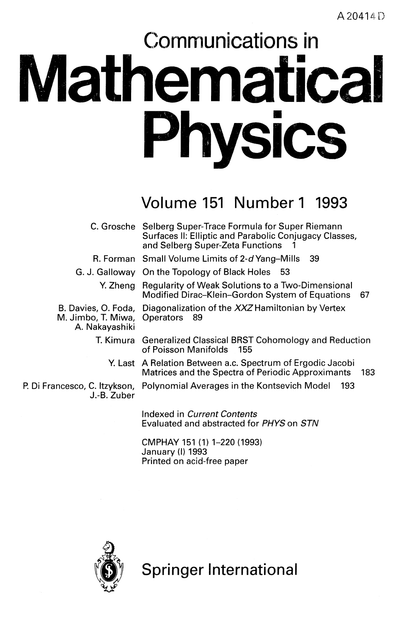# Communications in **Mathematical Physics**

### Volume 151 Number 1 1993

|                                                | C. Grosche Selberg Super-Trace Formula for Super Riemann<br>Surfaces II: Elliptic and Parabolic Conjugacy Classes,<br>and Selberg Super-Zeta Functions |
|------------------------------------------------|--------------------------------------------------------------------------------------------------------------------------------------------------------|
|                                                | R. Forman Small Volume Limits of 2-d Yang-Mills<br>- 39                                                                                                |
|                                                | G. J. Galloway On the Topology of Black Holes 53                                                                                                       |
|                                                | Y. Zheng Regularity of Weak Solutions to a Two-Dimensional<br>Modified Dirac-Klein-Gordon System of Equations<br>-67                                   |
| M. Jimbo, T. Miwa, Operators<br>A. Nakayashiki | B. Davies, O. Foda, Diagonalization of the XXZ Hamiltonian by Vertex<br>- 89                                                                           |
|                                                | T. Kimura Generalized Classical BRST Cohomology and Reduction<br>of Poisson Manifolds 155                                                              |
|                                                | Y. Last A Relation Between a.c. Spectrum of Ergodic Jacobi<br>Matrices and the Spectra of Periodic Approximants<br>183                                 |
| J.-B. Zuber                                    | P. Di Francesco, C. Itzykson,   Polynomial Averages in the Kontsevich Model   [<br>193                                                                 |
|                                                | Indexed in Current Contents<br>Evaluated and abstracted for PHYS on STN                                                                                |

CMPHAY 151 (1) 1-220 (1993) January (I) 1993 Printed on acid-free paper



Springer International